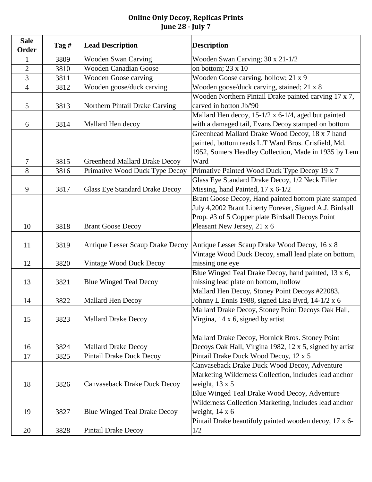| <b>Sale</b><br>Order | Tag $#$ | <b>Lead Description</b>              | <b>Description</b>                                           |
|----------------------|---------|--------------------------------------|--------------------------------------------------------------|
| 1                    | 3809    | <b>Wooden Swan Carving</b>           | Wooden Swan Carving; 30 x 21-1/2                             |
| $\overline{2}$       | 3810    | <b>Wooden Canadian Goose</b>         | on bottom; $23 \times 10$                                    |
| 3                    | 3811    | <b>Wooden Goose carving</b>          | Wooden Goose carving, hollow; 21 x 9                         |
| $\overline{4}$       | 3812    | Wooden goose/duck carving            | Wooden goose/duck carving, stained; $\overline{21 \times 8}$ |
|                      |         |                                      | Wooden Northern Pintail Drake painted carving 17 x 7,        |
| 5                    | 3813    | Northern Pintail Drake Carving       | carved in botton Jb/'90                                      |
|                      |         |                                      | Mallard Hen decoy, 15-1/2 x 6-1/4, aged but painted          |
| 6                    | 3814    | Mallard Hen decoy                    | with a damaged tail, Evans Decoy stamped on bottom           |
|                      |         |                                      | Greenhead Mallard Drake Wood Decoy, 18 x 7 hand              |
|                      |         |                                      | painted, bottom reads L.T Ward Bros. Crisfield, Md.          |
|                      |         |                                      | 1952, Somers Headley Collection, Made in 1935 by Lem         |
| 7                    | 3815    | <b>Greenhead Mallard Drake Decoy</b> | Ward                                                         |
| 8                    | 3816    | Primative Wood Duck Type Decoy       | Primative Painted Wood Duck Type Decoy 19 x 7                |
|                      |         |                                      | Glass Eye Standard Drake Decoy, 1/2 Neck Filler              |
| 9                    | 3817    | Glass Eye Standard Drake Decoy       | Missing, hand Painted, 17 x 6-1/2                            |
|                      |         |                                      | Brant Goose Decoy, Hand painted bottom plate stamped         |
|                      |         |                                      | July 4,2002 Brant Liberty Forever, Signed A.J. Birdsall      |
|                      |         |                                      | Prop. #3 of 5 Copper plate Birdsall Decoys Point             |
| 10                   | 3818    | <b>Brant Goose Decoy</b>             | Pleasant New Jersey, 21 x 6                                  |
| 11                   | 3819    | Antique Lesser Scaup Drake Decoy     | Antique Lesser Scaup Drake Wood Decoy, 16 x 8                |
|                      |         |                                      | Vintage Wood Duck Decoy, small lead plate on bottom,         |
| 12                   | 3820    | Vintage Wood Duck Decoy              | missing one eye                                              |
|                      |         |                                      | Blue Winged Teal Drake Decoy, hand painted, 13 x 6,          |
| 13                   | 3821    | <b>Blue Winged Teal Decoy</b>        | missing lead plate on bottom, hollow                         |
|                      |         |                                      | Mallard Hen Decoy, Stoney Point Decoys #22083,               |
| 14                   | 3822    | Mallard Hen Decoy                    | Johnny L Ennis 1988, signed Lisa Byrd, 14-1/2 x 6            |
|                      |         |                                      | Mallard Drake Decoy, Stoney Point Decoys Oak Hall,           |
| 15                   | 3823    | <b>Mallard Drake Decoy</b>           | Virgina, $14 \times 6$ , signed by artist                    |
|                      |         |                                      |                                                              |
|                      |         |                                      | Mallard Drake Decoy, Hornick Bros. Stoney Point              |
| 16                   | 3824    | <b>Mallard Drake Decoy</b>           | Decoys Oak Hall, Virgina 1982, 12 x 5, signed by artist      |
| 17                   | 3825    | <b>Pintail Drake Duck Decoy</b>      | Pintail Drake Duck Wood Decoy, 12 x 5                        |
|                      |         |                                      | Canvaseback Drake Duck Wood Decoy, Adventure                 |
|                      |         |                                      | Marketing Wilderness Collection, includes lead anchor        |
| 18                   | 3826    | Canvaseback Drake Duck Decoy         | weight, $13 \times 5$                                        |
|                      |         |                                      | Blue Winged Teal Drake Wood Decoy, Adventure                 |
|                      |         |                                      | Wilderness Collection Marketing, includes lead anchor        |
| 19                   | 3827    | Blue Winged Teal Drake Decoy         | weight, $14 \times 6$                                        |
|                      |         |                                      | Pintail Drake beautifuly painted wooden decoy, 17 x 6-       |
| 20                   | 3828    | <b>Pintail Drake Decoy</b>           | 1/2                                                          |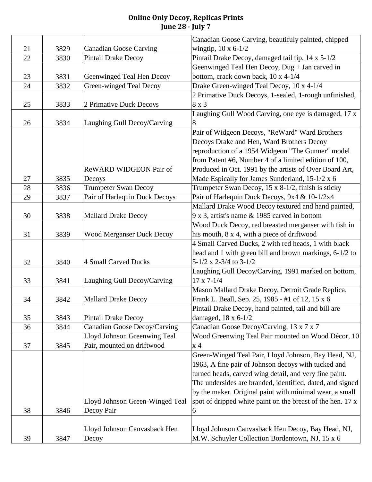|    |      |                                  | Canadian Goose Carving, beautifuly painted, chipped        |
|----|------|----------------------------------|------------------------------------------------------------|
| 21 | 3829 | <b>Canadian Goose Carving</b>    | wingtip, $10 \times 6 - 1/2$                               |
| 22 | 3830 | Pintail Drake Decoy              | Pintail Drake Decoy, damaged tail tip, 14 x 5-1/2          |
|    |      |                                  | Geenwinged Teal Hen Decoy, Dug + Jan carved in             |
| 23 | 3831 | Geenwinged Teal Hen Decoy        | bottom, crack down back, 10 x 4-1/4                        |
| 24 | 3832 | Green-winged Teal Decoy          | Drake Green-winged Teal Decoy, 10 x 4-1/4                  |
|    |      |                                  | 2 Primative Duck Decoys, 1-sealed, 1-rough unfinished,     |
| 25 | 3833 | 2 Primative Duck Decoys          | 8 x 3                                                      |
|    |      |                                  | Laughing Gull Wood Carving, one eye is damaged, 17 x       |
| 26 | 3834 | Laughing Gull Decoy/Carving      | 8                                                          |
|    |      |                                  | Pair of Widgeon Decoys, "ReWard" Ward Brothers             |
|    |      |                                  | Decoys Drake and Hen, Ward Brothers Decoy                  |
|    |      |                                  | reproduction of a 1954 Widgeon "The Gunner" model          |
|    |      |                                  | from Patent #6, Number 4 of a limited edition of 100,      |
|    |      | ReWARD WIDGEON Pair of           | Produced in Oct. 1991 by the artists of Over Board Art,    |
| 27 | 3835 | Decoys                           | Made Espically for James Sunderland, 15-1/2 x 6            |
| 28 | 3836 | <b>Trumpeter Swan Decoy</b>      | Trumpeter Swan Decoy, 15 x 8-1/2, finish is sticky         |
| 29 | 3837 | Pair of Harlequin Duck Decoys    | Pair of Harlequin Duck Decoys, 9x4 & 10-1/2x4              |
|    |      |                                  | Mallard Drake Wood Decoy textured and hand painted,        |
| 30 | 3838 | <b>Mallard Drake Decoy</b>       | 9 x 3, artist's name & 1985 carved in bottom               |
|    |      |                                  | Wood Duck Decoy, red breasted merganser with fish in       |
| 31 | 3839 | <b>Wood Merganser Duck Decoy</b> | his mouth, 8 x 4, with a piece of driftwood                |
|    |      |                                  | 4 Small Carved Ducks, 2 with red heads, 1 with black       |
|    |      |                                  | head and 1 with green bill and brown markings, 6-1/2 to    |
| 32 | 3840 | <b>4 Small Carved Ducks</b>      | $5-1/2$ x 2-3/4 to 3-1/2                                   |
|    |      |                                  | Laughing Gull Decoy/Carving, 1991 marked on bottom,        |
| 33 | 3841 | Laughing Gull Decoy/Carving      | $17 \times 7 - 1/4$                                        |
|    |      |                                  | Mason Mallard Drake Decoy, Detroit Grade Replica,          |
| 34 | 3842 | <b>Mallard Drake Decoy</b>       | Frank L. Beall, Sep. 25, 1985 - #1 of 12, 15 x 6           |
|    |      |                                  | Pintail Drake Decoy, hand painted, tail and bill are       |
| 35 | 3843 | <b>Pintail Drake Decoy</b>       | damaged, $18 \times 6 - 1/2$                               |
| 36 | 3844 | Canadian Goose Decoy/Carving     | Canadian Goose Decoy/Carving, 13 x 7 x 7                   |
|    |      | Lloyd Johnson Greenwing Teal     | Wood Greenwing Teal Pair mounted on Wood Décor, 10         |
| 37 | 3845 | Pair, mounted on driftwood       | x <sub>4</sub>                                             |
|    |      |                                  | Green-Winged Teal Pair, Lloyd Johnson, Bay Head, NJ,       |
|    |      |                                  | 1963, A fine pair of Johnson decoys with tucked and        |
|    |      |                                  | turned heads, carved wing detail, and very fine paint.     |
|    |      |                                  | The undersides are branded, identified, dated, and signed  |
|    |      |                                  | by the maker. Original paint with minimal wear, a small    |
|    |      | Lloyd Johnson Green-Winged Teal  | spot of dripped white paint on the breast of the hen. 17 x |
| 38 | 3846 | Decoy Pair                       | 6                                                          |
|    |      |                                  |                                                            |
|    |      | Lloyd Johnson Canvasback Hen     | Lloyd Johnson Canvasback Hen Decoy, Bay Head, NJ,          |
| 39 | 3847 | Decoy                            | M.W. Schuyler Collection Bordentown, NJ, 15 x 6            |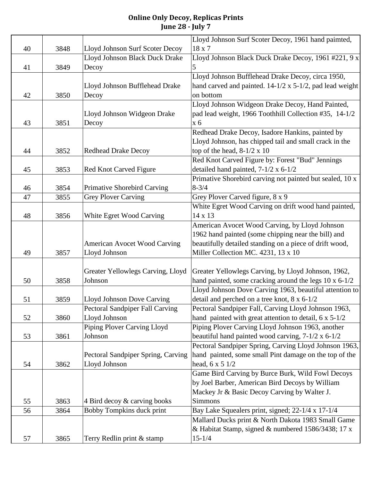|    |      |                                        | Lloyd Johnson Surf Scoter Decoy, 1961 hand paimted,                  |
|----|------|----------------------------------------|----------------------------------------------------------------------|
| 40 | 3848 | Lloyd Johnson Surf Scoter Decoy        | 18 x 7                                                               |
|    |      | Lloyd Johnson Black Duck Drake         | Lloyd Johnson Black Duck Drake Decoy, 1961 #221, 9 x                 |
| 41 | 3849 | Decoy                                  | 5                                                                    |
|    |      |                                        | Lloyd Johnson Bufflehead Drake Decoy, circa 1950,                    |
|    |      | Lloyd Johnson Bufflehead Drake         | hand carved and painted. 14-1/2 x 5-1/2, pad lead weight             |
| 42 | 3850 | Decoy                                  | on bottom                                                            |
|    |      |                                        | Lloyd Johnson Widgeon Drake Decoy, Hand Painted,                     |
|    |      | Lloyd Johnson Widgeon Drake            | pad lead weight, 1966 Toothhill Collection #35, 14-1/2               |
| 43 | 3851 | Decoy                                  | x 6                                                                  |
|    |      |                                        | Redhead Drake Decoy, Isadore Hankins, painted by                     |
|    |      |                                        | Lloyd Johnson, has chipped tail and small crack in the               |
| 44 | 3852 | <b>Redhead Drake Decoy</b>             | top of the head, $8-1/2 \times 10$                                   |
|    |      |                                        | Red Knot Carved Figure by: Forest "Bud" Jennings                     |
| 45 | 3853 | Red Knot Carved Figure                 | detailed hand painted, $7-1/2 \times 6-1/2$                          |
|    |      |                                        | Primative Shorebird carving not painted but sealed, 10 x             |
| 46 | 3854 | <b>Primative Shorebird Carving</b>     | $8 - 3/4$                                                            |
| 47 | 3855 | <b>Grey Plover Carving</b>             | Grey Plover Carved figure, 8 x 9                                     |
|    |      |                                        | White Egret Wood Carving on drift wood hand painted,                 |
| 48 | 3856 | White Egret Wood Carving               | 14 x 13                                                              |
|    |      |                                        | American Avocet Wood Carving, by Lloyd Johnson                       |
|    |      |                                        | 1962 hand painted (some chipping near the bill) and                  |
|    |      | <b>American Avocet Wood Carving</b>    | beautifully detailed standing on a piece of drift wood,              |
| 49 | 3857 | Lloyd Johnson                          | Miller Collection MC. 4231, 13 x 10                                  |
|    |      |                                        |                                                                      |
|    |      | Greater Yellowlegs Carving, Lloyd      | Greater Yellowlegs Carving, by Lloyd Johnson, 1962,                  |
| 50 | 3858 | Johnson                                | hand painted, some cracking around the legs $10 \times 6 - 1/2$      |
|    |      |                                        | Lloyd Johnson Dove Carving 1963, beautiful attention to              |
| 51 | 3859 | Lloyd Johnson Dove Carving             | detail and perched on a tree knot, $8 \times 6-1/2$                  |
|    |      | <b>Pectoral Sandpiper Fall Carving</b> | Pectoral Sandpiper Fall, Carving Lloyd Johnson 1963,                 |
| 52 | 3860 | Lloyd Johnson                          | hand painted with great attention to detail, $6 \times 5\frac{1}{2}$ |
|    |      | Piping Plover Carving Lloyd            | Piping Plover Carving Lloyd Johnson 1963, another                    |
| 53 | 3861 | Johnson                                | beautiful hand painted wood carving, $7-1/2 \times 6-1/2$            |
|    |      |                                        | Pectoral Sandpiper Spring, Carving Lloyd Johnson 1963,               |
|    |      | Pectoral Sandpiper Spring, Carving     | hand painted, some small Pint damage on the top of the               |
| 54 | 3862 | Lloyd Johnson                          | head, $6 \times 5 \frac{1}{2}$                                       |
|    |      |                                        | Game Bird Carving by Burce Burk, Wild Fowl Decoys                    |
|    |      |                                        | by Joel Barber, American Bird Decoys by William                      |
|    |      |                                        | Mackey Jr & Basic Decoy Carving by Walter J.                         |
| 55 | 3863 | 4 Bird decoy & carving books           | <b>Simmons</b>                                                       |
| 56 | 3864 | Bobby Tompkins duck print              | Bay Lake Squealers print, signed; 22-1/4 x 17-1/4                    |
|    |      |                                        | Mallard Ducks print & North Dakota 1983 Small Game                   |
|    |      |                                        | & Habitat Stamp, signed & numbered 1586/3438; 17 x                   |
| 57 | 3865 | Terry Redlin print & stamp             | $15 - 1/4$                                                           |
|    |      |                                        |                                                                      |